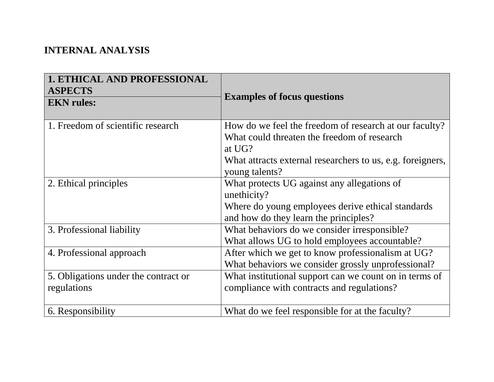## **INTERNAL ANALYSIS**

| <b>1. ETHICAL AND PROFESSIONAL</b><br><b>ASPECTS</b><br><b>EKN</b> rules: | <b>Examples of focus questions</b>                                                                                                                                            |
|---------------------------------------------------------------------------|-------------------------------------------------------------------------------------------------------------------------------------------------------------------------------|
| 1. Freedom of scientific research                                         | How do we feel the freedom of research at our faculty?<br>What could threaten the freedom of research<br>at UG?<br>What attracts external researchers to us, e.g. foreigners, |
| 2. Ethical principles                                                     | young talents?<br>What protects UG against any allegations of<br>unethicity?<br>Where do young employees derive ethical standards<br>and how do they learn the principles?    |
| 3. Professional liability                                                 | What behaviors do we consider irresponsible?<br>What allows UG to hold employees accountable?                                                                                 |
| 4. Professional approach                                                  | After which we get to know professionalism at UG?<br>What behaviors we consider grossly unprofessional?                                                                       |
| 5. Obligations under the contract or<br>regulations                       | What institutional support can we count on in terms of<br>compliance with contracts and regulations?                                                                          |
| 6. Responsibility                                                         | What do we feel responsible for at the faculty?                                                                                                                               |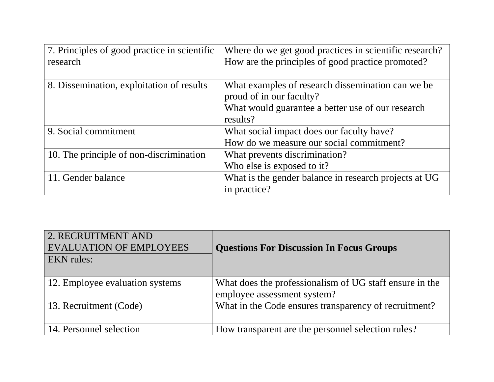| 7. Principles of good practice in scientific<br>research | Where do we get good practices in scientific research?<br>How are the principles of good practice promoted?                                    |
|----------------------------------------------------------|------------------------------------------------------------------------------------------------------------------------------------------------|
| 8. Dissemination, exploitation of results                | What examples of research dissemination can we be<br>proud of in our faculty?<br>What would guarantee a better use of our research<br>results? |
| 9. Social commitment                                     | What social impact does our faculty have?<br>How do we measure our social commitment?                                                          |
| 10. The principle of non-discrimination                  | What prevents discrimination?<br>Who else is exposed to it?                                                                                    |
| 11. Gender balance                                       | What is the gender balance in research projects at UG<br>in practice?                                                                          |

| 2. RECRUITMENT AND<br><b>EVALUATION OF EMPLOYEES</b><br><b>EKN</b> rules: | <b>Questions For Discussion In Focus Groups</b>                                        |
|---------------------------------------------------------------------------|----------------------------------------------------------------------------------------|
| 12. Employee evaluation systems                                           | What does the professionalism of UG staff ensure in the<br>employee assessment system? |
| 13. Recruitment (Code)                                                    | What in the Code ensures transparency of recruitment?                                  |
| 14. Personnel selection                                                   | How transparent are the personnel selection rules?                                     |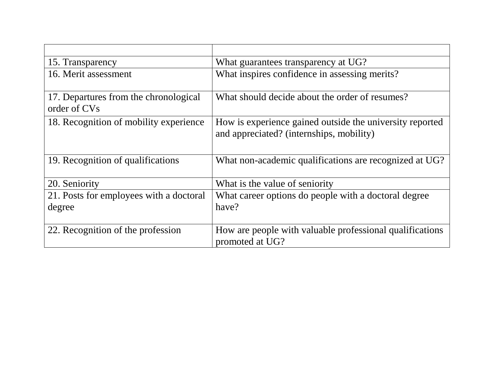| 15. Transparency                                      | What guarantees transparency at UG?                                                                  |
|-------------------------------------------------------|------------------------------------------------------------------------------------------------------|
| 16. Merit assessment                                  | What inspires confidence in assessing merits?                                                        |
| 17. Departures from the chronological<br>order of CVs | What should decide about the order of resumes?                                                       |
| 18. Recognition of mobility experience                | How is experience gained outside the university reported<br>and appreciated? (internships, mobility) |
| 19. Recognition of qualifications                     | What non-academic qualifications are recognized at UG?                                               |
| 20. Seniority                                         | What is the value of seniority                                                                       |
| 21. Posts for employees with a doctoral               | What career options do people with a doctoral degree                                                 |
| degree                                                | have?                                                                                                |
| 22. Recognition of the profession                     | How are people with valuable professional qualifications<br>promoted at UG?                          |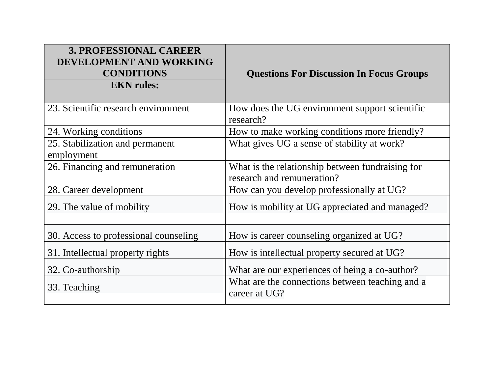| <b>3. PROFESSIONAL CAREER</b><br>DEVELOPMENT AND WORKING<br><b>CONDITIONS</b><br><b>EKN</b> rules: | <b>Questions For Discussion In Focus Groups</b>                                |
|----------------------------------------------------------------------------------------------------|--------------------------------------------------------------------------------|
| 23. Scientific research environment                                                                | How does the UG environment support scientific<br>research?                    |
| 24. Working conditions                                                                             | How to make working conditions more friendly?                                  |
| 25. Stabilization and permanent<br>employment                                                      | What gives UG a sense of stability at work?                                    |
| 26. Financing and remuneration                                                                     | What is the relationship between fundraising for<br>research and remuneration? |
| 28. Career development                                                                             | How can you develop professionally at UG?                                      |
| 29. The value of mobility                                                                          | How is mobility at UG appreciated and managed?                                 |
| 30. Access to professional counseling                                                              | How is career counseling organized at UG?                                      |
| 31. Intellectual property rights                                                                   | How is intellectual property secured at UG?                                    |
| 32. Co-authorship                                                                                  | What are our experiences of being a co-author?                                 |
| 33. Teaching                                                                                       | What are the connections between teaching and a<br>career at UG?               |